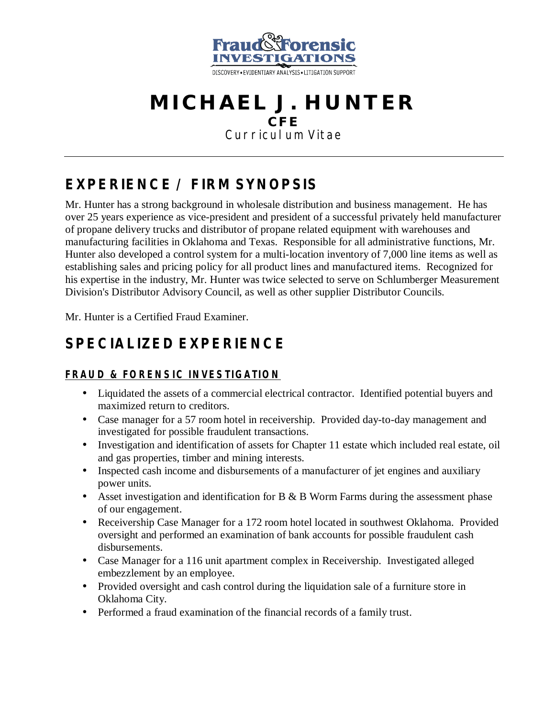

### **MICHAEL J. HUNTER CFE**  Curriculum Vitae

# **EXPERIENCE / FIRM SYNOPSIS**

Mr. Hunter has a strong background in wholesale distribution and business management. He has over 25 years experience as vice-president and president of a successful privately held manufacturer of propane delivery trucks and distributor of propane related equipment with warehouses and manufacturing facilities in Oklahoma and Texas. Responsible for all administrative functions, Mr. Hunter also developed a control system for a multi-location inventory of 7,000 line items as well as establishing sales and pricing policy for all product lines and manufactured items. Recognized for his expertise in the industry, Mr. Hunter was twice selected to serve on Schlumberger Measurement Division's Distributor Advisory Council, as well as other supplier Distributor Councils.

Mr. Hunter is a Certified Fraud Examiner.

## **SPECIALIZED EXPERIENCE**

#### **FRAUD & FORENSIC INVESTIGATION**

- Liquidated the assets of a commercial electrical contractor. Identified potential buyers and maximized return to creditors.
- Case manager for a 57 room hotel in receivership. Provided day-to-day management and investigated for possible fraudulent transactions.
- Investigation and identification of assets for Chapter 11 estate which included real estate, oil and gas properties, timber and mining interests.
- Inspected cash income and disbursements of a manufacturer of jet engines and auxiliary power units.
- Asset investigation and identification for B & B Worm Farms during the assessment phase of our engagement.
- Receivership Case Manager for a 172 room hotel located in southwest Oklahoma. Provided oversight and performed an examination of bank accounts for possible fraudulent cash disbursements.
- Case Manager for a 116 unit apartment complex in Receivership. Investigated alleged embezzlement by an employee.
- Provided oversight and cash control during the liquidation sale of a furniture store in Oklahoma City.
- Performed a fraud examination of the financial records of a family trust.